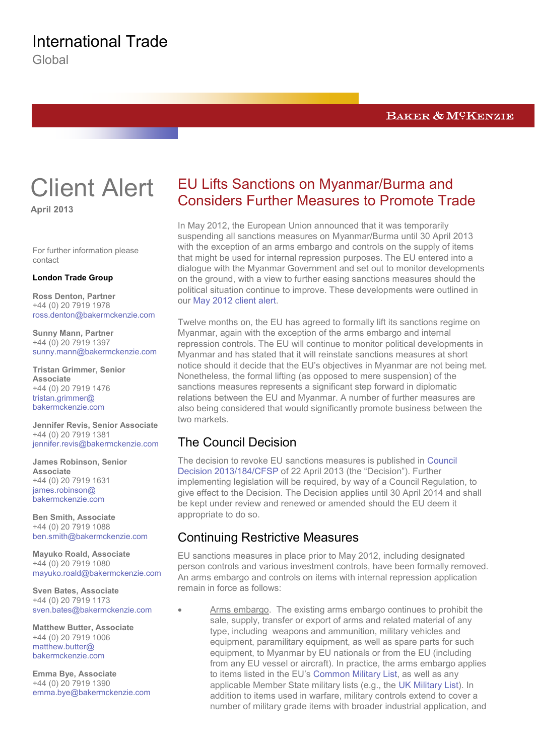Global

### BAKER & MCKENZIE

# Client Alert

**April 2013**

For further information please contact

#### **London Trade Group**

**Ross Denton, Partner** +44 (0) 20 7919 1978 [ross.denton@bakermckenzie.com](mailto:ross.denton@bakermckenzie.com)

**Sunny Mann, Partner** +44 (0) 20 7919 1397 [sunny.mann@bakermckenzie.com](mailto:sunny.mann@bakermckenzie.com)

**Tristan Grimmer, Senior Associate** +44 (0) 20 7919 1476 [tristan.grimmer@](mailto:tristan.grimmer@bakermckenzie.com) [bakermckenzie.com](mailto:tristan.grimmer@bakermckenzie.com)

**Jennifer Revis, Senior Associate** +44 (0) 20 7919 1381 [jennifer.revis@bakermckenzie.com](mailto:jennifer.revis@bakermckenzie.com)

**James Robinson, Senior Associate** +44 (0) 20 7919 1631 [james.robinson@](mailto:james.robinson@bakermckenzie.com) [bakermckenzie.com](mailto:james.robinson@bakermckenzie.com)

**Ben Smith, Associate** +44 (0) 20 7919 1088 [ben.smith@bakermckenzie.com](mailto:ben.smith@bakermckenzie.com)

**Mayuko Roald, Associate** +44 (0) 20 7919 1080 [mayuko.roald@bakermckenzie.com](mailto:mayuko.roald@bakermckenzie.com)

**Sven Bates, Associate** +44 (0) 20 7919 1173 [sven.bates@bakermckenzie.com](mailto:sven.bates@bakermckenzie.com)

**Matthew Butter, Associate** +44 (0) 20 7919 1006 [matthew.butter@](mailto:matthew.butter@bakermckenzie.com) [bakermckenzie.com](mailto:matthew.butter@bakermckenzie.com)

**Emma Bye, Associate** +44 (0) 20 7919 1390 [emma.bye@bakermckenzie.com](mailto:emma.bye@bakermckenzie.com)

## EU Lifts Sanctions on Myanmar/Burma and Considers Further Measures to Promote Trade

In May 2012, the European Union announced that it was temporarily suspending all sanctions measures on Myanmar/Burma until 30 April 2013 with the exception of an arms embargo and controls on the supply of items that might be used for internal repression purposes. The EU entered into a dialogue with the Myanmar Government and set out to monitor developments on the ground, with a view to further easing sanctions measures should the political situation continue to improve. These developments were outlined in our [May 2012 client alert.](http://bakerxchange.com/collect/click.aspx?u=+kwomMh7G5cwkUmm6AALLYYTNnY8K/NnDWdxjIjngM8eh4VWroJlI2mjK9faGTRCWgWJJUv+fWjpjCDcNeV/Xg==&rh=ff000f7db29d4603dac5895e3a48ba0477a7a8d9)

Twelve months on, the EU has agreed to formally lift its sanctions regime on Myanmar, again with the exception of the arms embargo and internal repression controls. The EU will continue to monitor political developments in Myanmar and has stated that it will reinstate sanctions measures at short notice should it decide that the EU's objectives in Myanmar are not being met. Nonetheless, the formal lifting (as opposed to mere suspension) of the sanctions measures represents a significant step forward in diplomatic relations between the EU and Myanmar. A number of further measures are also being considered that would significantly promote business between the two markets.

## The Council Decision

The decision to revoke EU sanctions measures is published in [Council](http://bakerxchange.com/collect/click.aspx?u=+kwomMh7G5fw8rBspolZRLYZufqbbs+bajAZbO2xWZPb/l7l8A9Ff7GPHfUJ6Vq2lCm8G15EsXuVH8xF7kGKhT8nN3CvqbgLtZOvIgHVmMBKrTd/04UQ1A==&rh=ff000f7db29d4603dac5895e3a48ba0477a7a8d9)  [Decision 2013/184/CFSP](http://bakerxchange.com/collect/click.aspx?u=+kwomMh7G5fw8rBspolZRLYZufqbbs+bajAZbO2xWZPb/l7l8A9Ff7GPHfUJ6Vq2lCm8G15EsXuVH8xF7kGKhT8nN3CvqbgLtZOvIgHVmMBKrTd/04UQ1A==&rh=ff000f7db29d4603dac5895e3a48ba0477a7a8d9) of 22 April 2013 (the "Decision"). Further implementing legislation will be required, by way of a Council Regulation, to give effect to the Decision. The Decision applies until 30 April 2014 and shall be kept under review and renewed or amended should the EU deem it appropriate to do so.

## Continuing Restrictive Measures

EU sanctions measures in place prior to May 2012, including designated person controls and various investment controls, have been formally removed. An arms embargo and controls on items with internal repression application remain in force as follows:

• Arms embargo. The existing arms embargo continues to prohibit the sale, supply, transfer or export of arms and related material of any type, including weapons and ammunition, military vehicles and equipment, paramilitary equipment, as well as spare parts for such equipment, to Myanmar by EU nationals or from the EU (including from any EU vessel or aircraft). In practice, the arms embargo applies to items listed in the EU's [Common Military List,](http://bakerxchange.com/collect/click.aspx?u=+kwomMh7G5fw8rBspolZRLYZufqbbs+bajAZbO2xWZPb/l7l8A9Ff7GPHfUJ6Vq2lCm8G15EsXvsKV1892/MZzUtxF1bCwN/VT8R7bwFOygGM2sfBA54YA==&rh=ff000f7db29d4603dac5895e3a48ba0477a7a8d9) as well as any applicable Member State military lists (e.g., the [UK Military List\)](http://bakerxchange.com/collect/click.aspx?u=/G1GTPto3VUSXNVGF7/G+fKSnS5lcV/zk7R6IKvnVq4gI5RrzK79h1y+xVvRZrrDlcgxlGRYJ6Du4vPDLFLe07knU0mnXAv1whE1yNjM0ixdEtulix3MWw==&rh=ff000f7db29d4603dac5895e3a48ba0477a7a8d9). In addition to items used in warfare, military controls extend to cover a number of military grade items with broader industrial application, and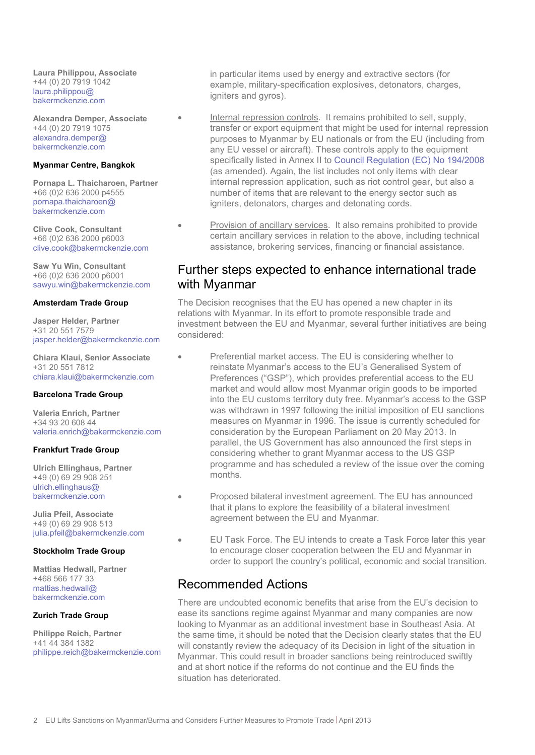**Laura Philippou, Associate** +44 (0) 20 7919 1042 [laura.philippou@](mailto:laura.philippou@bakermckenzie.com) [bakermckenzie.com](mailto:laura.philippou@bakermckenzie.com)

**Alexandra Demper, Associate** +44 (0) 20 7919 1075 [alexandra.demper@](mailto:alexandra.demper@bakermckenzie.com) [bakermckenzie.com](mailto:alexandra.demper@bakermckenzie.com)

#### **Myanmar Centre, Bangkok**

**Pornapa L. Thaicharoen, Partner** +66 (0)2 636 2000 p4555 [pornapa.thaicharoen@](mailto:pornapa.thaicharoen@bakermckenzie.com) [bakermckenzie.com](mailto:pornapa.thaicharoen@bakermckenzie.com)

**Clive Cook, Consultant** +66 (0)2 636 2000 p6003 [clive.cook@bakermckenzie.com](mailto:clive.cook@bakermckenzie.com)

**Saw Yu Win, Consultant** +66 (0)2 636 2000 p6001 [sawyu.win@bakermckenzie.com](mailto:sawyu.win@bakermckenzie.com)

#### **Amsterdam Trade Group**

**Jasper Helder, Partner** +31 20 551 7579 [jasper.helder@bakermckenzie.com](mailto:jasper.helder@bakermckenzie.com)

**Chiara Klaui, Senior Associate** +31 20 551 7812 [chiara.klaui@bakermckenzie.com](mailto:chiara.klaui@bakermckenzie.com)

#### **Barcelona Trade Group**

**Valeria Enrich, Partner** +34 93 20 608 44 [valeria.enrich@bakermckenzie.com](mailto:valeria.enrich@bakermckenzie.com)

#### **Frankfurt Trade Group**

**Ulrich Ellinghaus, Partner** +49 (0) 69 29 908 251 [ulrich.ellinghaus@](mailto:ulrich.ellinghaus@bakermckenzie.com) [bakermckenzie.com](mailto:ulrich.ellinghaus@bakermckenzie.com)

**Julia Pfeil, Associate** +49 (0) 69 29 908 513 [julia.pfeil@bakermckenzie.com](mailto:julia.pfeil@bakermckenzie.com)

#### **Stockholm Trade Group**

**Mattias Hedwall, Partner** +468 566 177 33 [mattias.hedwall@](mailto:mattias.hedwall@bakermckenzie.com) [bakermckenzie.com](mailto:mattias.hedwall@bakermckenzie.com)

#### **Zurich Trade Group**

**Philippe Reich, Partner** +41 44 384 1382 [philippe.reich@bakermckenzie.com](mailto:philippe.reich@bakermckenzie.com)

in particular items used by energy and extractive sectors (for example, military-specification explosives, detonators, charges, igniters and gyros).

- Internal repression controls. It remains prohibited to sell, supply, transfer or export equipment that might be used for internal repression purposes to Myanmar by EU nationals or from the EU (including from any EU vessel or aircraft). These controls apply to the equipment specifically listed in Annex II to [Council Regulation \(EC\) No 194/2008](http://bakerxchange.com/collect/click.aspx?u=+kwomMh7G5fw8rBspolZRLYZufqbbs+bajAZbO2xWZPb/l7l8A9Ff7GPHfUJ6Vq2+pteIymxAdVjoJzq/iQgldMhL3dM8R/Ymgc4NSGtyQ5xIOs+7q+OiqUny/3JyHhi&rh=ff000f7db29d4603dac5895e3a48ba0477a7a8d9) (as amended). Again, the list includes not only items with clear internal repression application, such as riot control gear, but also a number of items that are relevant to the energy sector such as igniters, detonators, charges and detonating cords.
- Provision of ancillary services. It also remains prohibited to provide certain ancillary services in relation to the above, including technical assistance, brokering services, financing or financial assistance.

## Further steps expected to enhance international trade with Myanmar

The Decision recognises that the EU has opened a new chapter in its relations with Myanmar. In its effort to promote responsible trade and investment between the EU and Myanmar, several further initiatives are being considered:

- Preferential market access. The EU is considering whether to reinstate Myanmar's access to the EU's Generalised System of Preferences ("GSP"), which provides preferential access to the EU market and would allow most Myanmar origin goods to be imported into the EU customs territory duty free. Myanmar's access to the GSP was withdrawn in 1997 following the initial imposition of EU sanctions measures on Myanmar in 1996. The issue is currently scheduled for consideration by the European Parliament on 20 May 2013. In parallel, the US Government has also announced the first steps in considering whether to grant Myanmar access to the US GSP programme and has scheduled a review of the issue over the coming months.
- Proposed bilateral investment agreement. The EU has announced that it plans to explore the feasibility of a bilateral investment agreement between the EU and Myanmar.
- EU Task Force. The EU intends to create a Task Force later this year to encourage closer cooperation between the EU and Myanmar in order to support the country's political, economic and social transition.

## Recommended Actions

There are undoubted economic benefits that arise from the EU's decision to ease its sanctions regime against Myanmar and many companies are now looking to Myanmar as an additional investment base in Southeast Asia. At the same time, it should be noted that the Decision clearly states that the EU will constantly review the adequacy of its Decision in light of the situation in Myanmar. This could result in broader sanctions being reintroduced swiftly and at short notice if the reforms do not continue and the EU finds the situation has deteriorated.